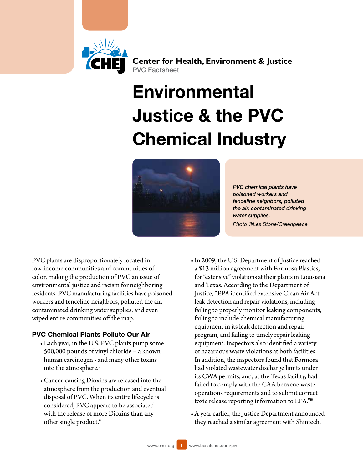

**Center for Health, Environment & Justice** PVC Factsheet

# **Environmental** Justice & the PVC Chemical Industry



*PVC chemical plants have poisoned workers and fenceline neighbors, polluted the air, contaminated drinking water supplies. Photo ©Les Stone/Greenpeace*

PVC plants are disproportionately located in low-income communities and communities of color, making the production of PVC an issue of environmental justice and racism for neighboring residents. PVC manufacturing facilities have poisoned workers and fenceline neighbors, polluted the air, contaminated drinking water supplies, and even wiped entire communities off the map.

## PVC Chemical Plants Pollute Our Air

- Each year, in the U.S. PVC plants pump some 500,000 pounds of vinyl chloride – a known human carcinogen - and many other toxins into the atmosphere.<sup>i</sup>
- • Cancer-causing Dioxins are released into the atmosphere from the production and eventual disposal of PVC. When its entire lifecycle is considered, PVC appears to be associated with the release of more Dioxins than any other single product.<sup>[ii](#page-4-1)</sup>
- In 2009, the U.S. Department of Justice reached a \$13 million agreement with Formosa Plastics, for "extensive" violations at their plants in Louisiana and Texas. According to the Department of Justice, "EPA identified extensive Clean Air Act leak detection and repair violations, including failing to properly monitor leaking components, failing to include chemical manufacturing equipment in its leak detection and repair program, and failing to timely repair leaking equipment. Inspectors also identified a variety of hazardous waste violations at both facilities. In addition, the inspectors found that Formosa had violated wastewater discharge limits under its CWA permits, and, at the Texas facility, had failed to comply with the CAA benzene waste operations requirements and to submit correct toxic release reporting information to EPA."[iii](#page-4-2)
- • A year earlier, the Justice Department announced they reached a similar agreement with Shintech,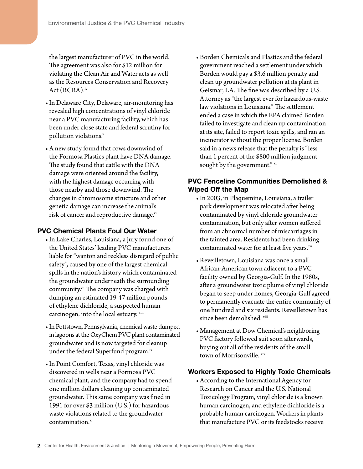the largest manufacturer of PVC in the world. The agreement was also for \$12 million for violating the Clean Air and Water acts as well as the Resources Conservation and Recovery Act (RCRA).[iv](#page-4-3)

- In Delaware City, Delaware, air-monitoring has revealed high concentrations of vinyl chloride near a PVC manufacturing facility, which has been under close state and federal scrutiny for pollution violations.<sup>v</sup>
- • A new study found that cows downwind of the Formosa Plastics plant have DNA damage. The study found that cattle with the DNA damage were oriented around the facility, with the highest damage occurring with those nearby and those downwind. The changes in chromosome structure and other genetic damage can increase the animal's risk of cancer and reproductive damage[.vi](#page-5-1)

## PVC Chemical Plants Foul Our Water

- In Lake Charles, Louisiana, a jury found one of the United States' leading PVC manufacturers liable for "wanton and reckless disregard of public safety", caused by one of the largest chemical spills in the nation's history which contaminated the groundwater underneath the surrounding community.<sup>vii</sup> The company was charged with dumping an estimated 19-47 million pounds of ethylene dichloride, a suspected human carcinogen, into the local estuary. [viii](#page-5-3)
- In Pottstown, Pennsylvania, chemical waste dumped in lagoons at the OxyChem PVC plant contaminated groundwater and is now targeted for cleanup under the federal Superfund program.<sup>[ix](#page-5-4)</sup>
- • In Point Comfort, Texas, vinyl chloride was discovered in wells near a Formosa PVC chemical plant, and the company had to spend one million dollars cleaning up contaminated groundwater. This same company was fined in 1991 for over \$3 million (U.S.) for hazardous waste violations related to the groundwater contamination. $^x$

• Borden Chemicals and Plastics and the federal government reached a settlement under which Borden would pay a \$3.6 million penalty and clean up groundwater pollution at its plant in Geismar, LA. The fine was described by a U.S. Attorney as "the largest ever for hazardous-waste law violations in Louisiana." The settlement ended a case in which the EPA claimed Borden failed to investigate and clean up contamination at its site, failed to report toxic spills, and ran an incinerator without the proper license. Borden said in a news release that the penalty is "less than 1 percent of the \$800 million judgment sought by the government." [xi](#page-5-6)

# PVC Fenceline Communities Demolished & Wiped Off the Map

- • In 2003, in Plaquemine, Louisiana, a trailer park development was relocated after being contaminated by vinyl chloride groundwater contamination, but only after women suffered from an abnormal number of miscarriages in the tainted area. Residents had been drinking contaminated water for at least five years.[xii](#page-5-7)
- • Reveilletown, Louisiana was once a small African-American town adjacent to a PVC facility owned by Georgia-Gulf. In the 1980s, after a groundwater toxic plume of vinyl chloride began to seep under homes, Georgia-Gulf agreed to permanently evacuate the entire community of one hundred and six residents. Reveilletown has since been demolished. [xiii](#page-5-8)
- Management at Dow Chemical's neighboring PVC factory followed suit soon afterwards, buying out all of the residents of the small town of Morrisonville. [xiv](#page-5-9)

## Workers Exposed to Highly Toxic Chemicals

• According to the International Agency for Research on Cancer and the U.S. National Toxicology Program, vinyl chloride is a known human carcinogen, and ethylene dichloride is a probable human carcinogen. Workers in plants that manufacture PVC or its feedstocks receive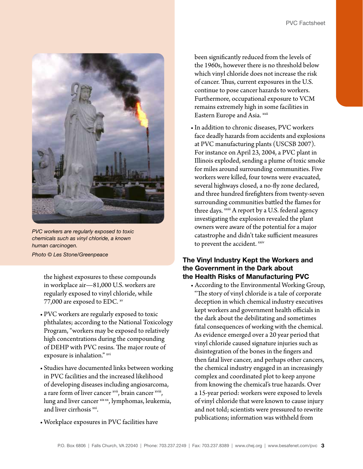

*PVC workers are regularly exposed to toxic chemicals such as vinyl chloride, a known human carcinogen. Photo © Les Stone/Greenpeace*

the highest exposures to these compounds in workplace air—81,000 U.S. workers are

regularly exposed to vinyl chloride, while 77,000 are exposed to EDC. [xv](#page-5-10)

- • PVC workers are regularly exposed to toxic phthalates; according to the National Toxicology Program, "workers may be exposed to relatively high concentrations during the compounding of DEHP with PVC resins. The major route of exposure is inhalation." [xvi](#page-5-11)
- • Studies have documented links between working in PVC facilities and the increased likelihood of developing diseases including angiosarcoma, a rare form of liver cancer [xvii](#page-5-12), brain cancer [xviii](#page-5-13), lung and liver cancer [xix](#page-5-14) [xx](#page-5-15), lymphomas, leukemia, and liver cirrhosis [xxi.](#page-5-16)
- • Workplace exposures in PVC facilities have

 been significantly reduced from the levels of the 1960s, however there is no threshold below which vinyl chloride does not increase the risk of cancer. Thus, current exposures in the U.S. continue to pose cancer hazards to workers. Furthermore, occupational exposure to VCM remains extremely high in some facilities in Eastern Europe and Asia. [xxii](#page-5-17)

• In addition to chronic diseases, PVC workers face deadly hazards from accidents and explosions at PVC manufacturing plants (USCSB 2007). For instance on April 23, 2004, a PVC plant in Illinois exploded, sending a plume of toxic smoke for miles around surrounding communities. Five workers were killed, four towns were evacuated, several highways closed, a no-fly zone declared, and three hundred firefighters from twenty-seven surrounding communities battled the flames for three days. [xxiii](#page-5-18) A report by a U.S. federal agency investigating the explosion revealed the plant owners were aware of the potential for a major catastrophe and didn't take sufficient measures to prevent the accident. [xxiv](#page-5-19)

# The Vinyl Industry Kept the Workers and the Government in the Dark about the Health Risks of Manufacturing PVC

• According to the Environmental Working Group, "The story of vinyl chloride is a tale of corporate deception in which chemical industry executives kept workers and government health officials in the dark about the debilitating and sometimes fatal consequences of working with the chemical. As evidence emerged over a 20 year period that vinyl chloride caused signature injuries such as disintegration of the bones in the fingers and then fatal liver cancer, and perhaps other cancers, the chemical industry engaged in an increasingly complex and coordinated plot to keep anyone from knowing the chemical's true hazards. Over a 15-year period: workers were exposed to levels of vinyl chloride that were known to cause injury and not told; scientists were pressured to rewrite publications; information was withheld from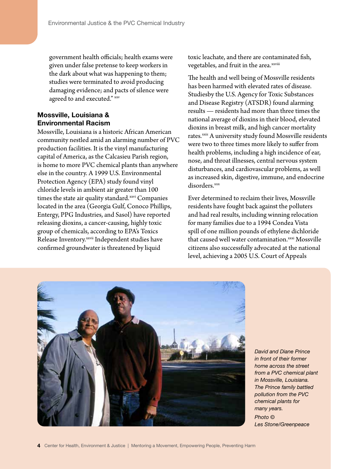government health officials; health exams were given under false pretense to keep workers in the dark about what was happening to them; studies were terminated to avoid producing damaging evidence; and pacts of silence were agreed to and executed." [xxv](#page-5-20)

# Mossville, Louisiana & Environmental Racism

Mossville, Louisiana is a historic African American community nestled amid an alarming number of PVC production facilities. It is the vinyl manufacturing capital of America, as the Calcasieu Parish region, is home to more PVC chemical plants than anywhere else in the country. A 1999 U.S. Environmental Protection Agency (EPA) study found vinyl chloride levels in ambient air greater than 100 times the state air quality standard.<sup>[xxvi](#page-6-0)</sup> Companies located in the area (Georgia Gulf, Conoco Phillips, Entergy, PPG Industries, and Sasol) have reported releasing dioxins, a cancer-causing, highly toxic group of chemicals, according to EPA's Toxics Release Inventory.[xxvii](#page-6-1) Independent studies have confirmed groundwater is threatened by liquid

toxic leachate, and there are contaminated fish, vegetables, and fruit in the area.<sup>xxviii</sup>

The health and well being of Mossville residents has been harmed with elevated rates of disease. Studiesby the U.S. Agency for Toxic Substances and Disease Registry (ATSDR) found alarming results — residents had more than three times the national average of dioxins in their blood, elevated dioxins in breast milk, and high cancer mortality rates.<sup>[xxiz](#page-6-3)</sup> A university study found Mossville residents were two to three times more likely to suffer from health problems, including a high incidence of ear, nose, and throat illnesses, central nervous system disturbances, and cardiovascular problems, as well as increased skin, digestive, immune, and endocrine disorders.xxx

Ever determined to reclaim their lives, Mossville residents have fought back against the polluters and had real results, including winning relocation for many families due to a 1994 Condea Vista spill of one million pounds of ethylene dichloride that caused well water contamination.<sup>[xxxi](#page-6-5)</sup> Mossville citizens also successfully advocated at the national level, achieving a 2005 U.S. Court of Appeals



*David and Diane Prince in front of their former home across the street from a PVC chemical plant in Mossville, Louisiana. The Prince family battled pollution from the PVC chemical plants for many years. Photo ©* 

*Les Stone/Greenpeace*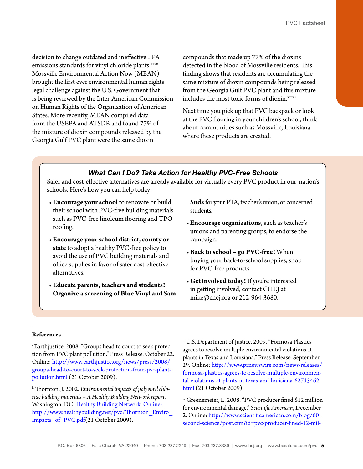decision to change outdated and ineffective EPA emissions standards for vinyl chloride plants.<sup>[xxxii](#page-6-6)</sup> Mossville Environmental Action Now (MEAN) brought the first ever environmental human rights legal challenge against the U.S. Government that is being reviewed by the Inter-American Commission on Human Rights of the Organization of American States. More recently, MEAN compiled data from the USEPA and ATSDR and found 77% of the mixture of dioxin compounds released by the Georgia Gulf PVC plant were the same dioxin

compounds that made up 77% of the dioxins detected in the blood of Mossville residents. This finding shows that residents are accumulating the same mixture of dioxin compounds being released from the Georgia Gulf PVC plant and this mixture includes the most toxic forms of dioxin.[xxxiii](#page-6-7)

Next time you pick up that PVC backpack or look at the PVC flooring in your children's school, think about communities such as Mossville, Louisiana where these products are created.

## *What Can I Do? Take Action for Healthy PVC-Free Schools*

Safer and cost-effective alternatives are already available for virtually every PVC product in our nation's schools. Here's how you can help today:

- **Encourage your school** to renovate or build their school with PVC-free building materials such as PVC-free linoleum flooring and TPO roofing.
- **Encourage your school district, county or state** to adopt a healthy PVC-free policy to avoid the use of PVC building materials and office supplies in favor of safer cost-effective alternatives.
- • **Educate parents, teachers and students! Organize a screening of Blue Vinyl and Sam**

**Suds** for your PTA, teacher's union, or concerned students.

- • **Encourage organizations**, such as teacher's unions and parenting groups, to endorse the campaign.
- • **Back to school go PVC-free!** When buying your back-to-school supplies, shop for PVC-free products.
- • **Get involved today!** If you're interested in getting involved, contact CHEJ at mike@chej.org or 212-964-3680.

#### **References**

<span id="page-4-0"></span>i Earthjustice. 2008. "Groups head to court to seek protection from PVC plant pollution." Press Release. October 22. Online: [http://www.earthjustice.org/news/press/2008/](http://www.earthjustice.org/news/press/2008/groups-head-to-court-to-seek-protection-from-pvc-plant-pollution.html) [groups-head-to-court-to-seek-protection-from-pvc-plant](http://www.earthjustice.org/news/press/2008/groups-head-to-court-to-seek-protection-from-pvc-plant-pollution.html)[pollution.html](http://www.earthjustice.org/news/press/2008/groups-head-to-court-to-seek-protection-from-pvc-plant-pollution.html) (21 October 2009).

<span id="page-4-1"></span>ii Thornton, J. 2002. *Environmental impacts of polyvinyl chloride building materials – A Healthy Building Network report*. Washington, DC: Healthy Building [Network.](http://www.healthybuilding.net/pvc/Thornton_Enviro_Impacts_of_PVC.pdf) Online: [http://www.healthybuilding.net/pvc/Thornton\\_Enviro\\_](http://www.healthybuilding.net/pvc/Thornton_Enviro_Impacts_of_PVC.pdf) [Impacts\\_of\\_PVC.pdf](http://www.healthybuilding.net/pvc/Thornton_Enviro_Impacts_of_PVC.pdf)(21 October 2009).

<span id="page-4-2"></span>iii U.S. Department of Justice. 2009. "Formosa Plastics agrees to resolve multiple environmental violations at plants in Texas and Louisiana." Press Release. September 29. Online: [http://www.prnewswire.com/news-releases/](http://www.prnewswire.com/news-releases/formosa-plastics-agrees-to-resolve-multiple-environmental-violations-at-plants-in-texas-and-louisiana-62715462.html) [formosa-plastics-agrees-to-resolve-multiple-environmen](http://www.prnewswire.com/news-releases/formosa-plastics-agrees-to-resolve-multiple-environmental-violations-at-plants-in-texas-and-louisiana-62715462.html)[tal-violations-at-plants-in-texas-and-louisiana-62715462.](http://www.prnewswire.com/news-releases/formosa-plastics-agrees-to-resolve-multiple-environmental-violations-at-plants-in-texas-and-louisiana-62715462.html) [html](http://www.prnewswire.com/news-releases/formosa-plastics-agrees-to-resolve-multiple-environmental-violations-at-plants-in-texas-and-louisiana-62715462.html) (21 October 2009).

<span id="page-4-3"></span>iv Greenemeier, L. 2008. "PVC producer fined \$12 million for environmental damage." *Scientific American*, December 2. Online: [http://www.scientificamerican.com/blog/60](http://www.scientificamerican.com/blog/60-second-science/post.cfm?id=pvc-producer-fined-12-million-for-e-2008-12-02) [second-science/post.cfm?id=pvc-producer-fined-12-mil](http://www.scientificamerican.com/blog/60-second-science/post.cfm?id=pvc-producer-fined-12-million-for-e-2008-12-02)-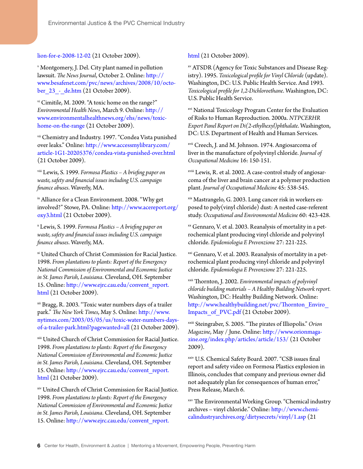#### [lion-for-e-2008-12-02](http://www.scientificamerican.com/blog/60-second-science/post.cfm?id=pvc-producer-fined-12-million-for-e-2008-12-02) (21 October 2009).

<span id="page-5-0"></span><sup>v</sup> Montgomery, J. Del. City plant named in pollution lawsuit. *The News Journal*, October 2. Online: [http://](http://www.besafenet.com/pvc/news/archives/2008/10/october_23_-_de.htm) [www.besafenet.com/pvc/news/archives/2008/10/octo](http://www.besafenet.com/pvc/news/archives/2008/10/october_23_-_de.htm)ber 23 - de.htm (21 October 2009).

<span id="page-5-1"></span>v<sup>i</sup> Cimitile, M. 2009. "A toxic home on the range?" *Environmental Health News*, March 9. Online: [http://](http://www.environmentalhealthnews.org/ehs/news/toxic-home-on-the-range) [www.environmentalhealthnews.org/ehs/news/toxic](http://www.environmentalhealthnews.org/ehs/news/toxic-home-on-the-range)[home-on-the-range](http://www.environmentalhealthnews.org/ehs/news/toxic-home-on-the-range) (21 October 2009).

<span id="page-5-2"></span>vii Chemistry and Industry. 1997. "Condea Vista punished over leaks." Online: [http://www.accessmylibrary.com/](http://www.accessmylibrary.com/article-1G1-20205376/condea-vista-punished-over.html) [article-1G1-20205376/condea-vista-punished-over.html](http://www.accessmylibrary.com/article-1G1-20205376/condea-vista-punished-over.html) (21 October 2009).

<span id="page-5-3"></span>viii Lewis, S. 1999. *Formosa Plastics – A briefing paper on waste, safety and financial issues including U.S. campaign finance abuses*. Waverly, MA.

<span id="page-5-4"></span>ix Alliance for a Clean Environment. 2008. "Why get involved?" Stowe, PA. Online: [http://www.acereport.org/](http://www.acereport.org/oxy3.html) [oxy3.html](http://www.acereport.org/oxy3.html) (21 October 2009).

<span id="page-5-5"></span><sup>x</sup> Lewis, S. 1999. *Formosa Plastics – A briefing paper on waste, safety and financial issues including U.S. campaign finance abuses*. Waverly, MA.

<span id="page-5-6"></span>xi United Church of Christ Commission for Racial Justice. 1998. *From plantations to plants: Report of the Emergency National Commission of Environmental and Economic Justice in St. James Parish, Louisiana*. Cleveland, OH. September 15. Online: [http://www.ejrc.cau.edu/convent\\_report.](http://www.ejrc.cau.edu/convent_report.html) [html](http://www.ejrc.cau.edu/convent_report.html) (21 October 2009).

<span id="page-5-7"></span>xii Bragg, R. 2003. "Toxic water numbers days of a trailer park." *The New York Times*, May 5. Online: [http://www.](http://www.nytimes.com/2003/05/05/us/toxic-water-numbers-days-of-a-trailer-park.html?pagewanted=all) [nytimes.com/2003/05/05/us/toxic-water-numbers-days](http://www.nytimes.com/2003/05/05/us/toxic-water-numbers-days-of-a-trailer-park.html?pagewanted=all)[of-a-trailer-park.html?pagewanted=all](http://www.nytimes.com/2003/05/05/us/toxic-water-numbers-days-of-a-trailer-park.html?pagewanted=all) (21 October 2009).

<span id="page-5-8"></span>xiii United Church of Christ Commission for Racial Justice. 1998. *From plantations to plants: Report of the Emergency National Commission of Environmental and Economic Justice in St. James Parish, Louisiana*. Cleveland, OH. September 15. Online: [http://www.ejrc.cau.edu/convent\\_report.](http://www.ejrc.cau.edu/convent_report.html) [html](http://www.ejrc.cau.edu/convent_report.html) (21 October 2009).

<span id="page-5-9"></span>xiv United Church of Christ Commission for Racial Justice. 1998. *From plantations to plants: Report of the Emergency National Commission of Environmental and Economic Justice in St. James Parish, Louisiana*. Cleveland, OH. September 15. Online: [http://www.ejrc.cau.edu/convent\\_report.](http://www.ejrc.cau.edu/convent_report.html)

[html](http://www.ejrc.cau.edu/convent_report.html) (21 October 2009).

<span id="page-5-10"></span>xv ATSDR (Agency for Toxic Substances and Disease Registry). 1995. *Toxicological profile for Vinyl Chloride* (update). Washington, DC: U.S. Public Health Service. And 1993. *Toxicological profile for 1,2-Dichloroethane*. Washington, DC: U.S. Public Health Service.

<span id="page-5-11"></span>xvi National Toxicology Program Center for the Evaluation of Risks to Human Reproduction. 2000a. *NTPCERHR Expert Panel Report on Di(2-ethylhexyl)phthalate*. Washington, DC: U.S. Department of Health and Human Services.

<span id="page-5-12"></span>xvii Creech, J. and M. Johnson. 1974. Angiosarcoma of liver in the manufacture of polyvinyl chloride. *Journal of Occupational Medicine* 16: 150-151.

<span id="page-5-13"></span>xviii Lewis, R. et al. 2002. A case-control study of angiosarcoma of the liver and brain cancer at a polymer production plant. *Journal of Occupational Medicine* 45: 538-545.

<span id="page-5-14"></span>xix Mastrangelo, G. 2003. Lung cancer risk in workers exposed to poly(vinyl chloride) dust: A nested case-referent study. *Occupational and Environmental Medicine* 60: 423-428.

<span id="page-5-15"></span><sup>xx</sup> Gennaro, V. et al. 2003. Reanalysis of mortality in a petrochemical plant producing vinyl chloride and polyvinyl chloride. *Epidemiologia E Prevenzione* 27: 221-225.

<span id="page-5-16"></span><sup>xxi</sup> Gennaro, V. et al. 2003. Reanalysis of mortality in a petrochemical plant producing vinyl chloride and polyvinyl chloride. *Epidemiologia E Prevenzione* 27: 221-225.

<span id="page-5-17"></span>xxii Thornton, J. 2002. *Environmental impacts of polyvinyl chloride building materials – A Healthy Building Network report.* Washington, DC: Healthy Building Network. Online: [http://www.healthybuilding.net/pvc/Thornton\\_Enviro\\_](http://www.healthybuilding.net/pvc/Thornton_Enviro_Impacts_of_PVC.pdf) Impacts of PVC.pdf (21 October 2009).

<span id="page-5-18"></span>xxiii Steingraber, S. 2005. "The pirates of Illiopolis." *Orion Magazine*, May / June. Online: [http://www.orionmaga](http://www.orionmagazine.org/index.php/articles/article/153/)[zine.org/index.php/articles/article/153/](http://www.orionmagazine.org/index.php/articles/article/153/) (21 October 2009).

<span id="page-5-19"></span>xxiv U.S. Chemical Safety Board. 2007. "CSB issues final report and safety video on Formosa Plastics explosion in Illinois, concludes that company and previous owner did not adequately plan for consequences of human error," Press Release, March 6.

<span id="page-5-20"></span>xxv The Environmental Working Group. "Chemical industry archives – vinyl chloride." Online: [http://www.chemi](http://www.chemicalindustryarchives.org/dirtysecrets/vinyl/1.asp)[calindustryarchives.org/dirtysecrets/vinyl/1.asp](http://www.chemicalindustryarchives.org/dirtysecrets/vinyl/1.asp) (21